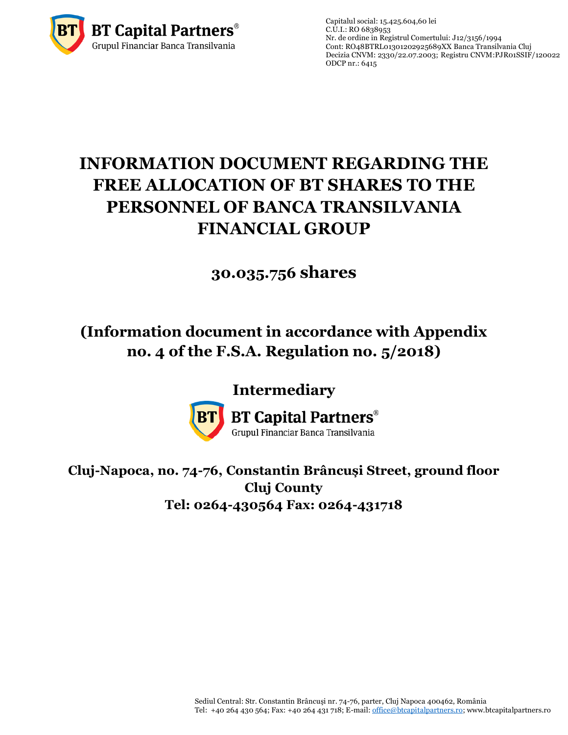

Capitalul social: 15.425.604,60 lei  $C.\overline{U}$ .I.: RO 6838953 Nr. de ordine in Registrul Comertului: J12/3156/1994 Cont: RO48BTRL01301202925689XX Banca Transilvania Cluj Decizia CNVM: 2330/22.07.2003; Registru CNVM[:PJR01SSIF/120022](http://asfromania.ro/registru/detalii.php?id=11&nrcnvm=PJR01SSIF/120022&lng=1) ODCP nr.: 6415

# **INFORMATION DOCUMENT REGARDING THE FREE ALLOCATION OF BT SHARES TO THE PERSONNEL OF BANCA TRANSILVANIA FINANCIAL GROUP**

# **30.035.756 shares**

# **(Information document in accordance with Appendix no. 4 of the F.S.A. Regulation no. 5/2018)**

# **Intermediary**



**BT Capital Partners**® Grupul Financiar Banca Transilvania

**Cluj-Napoca, no. 74-76, Constantin Brâncuși Street, ground floor Cluj County Tel: 0264-430564 Fax: 0264-431718**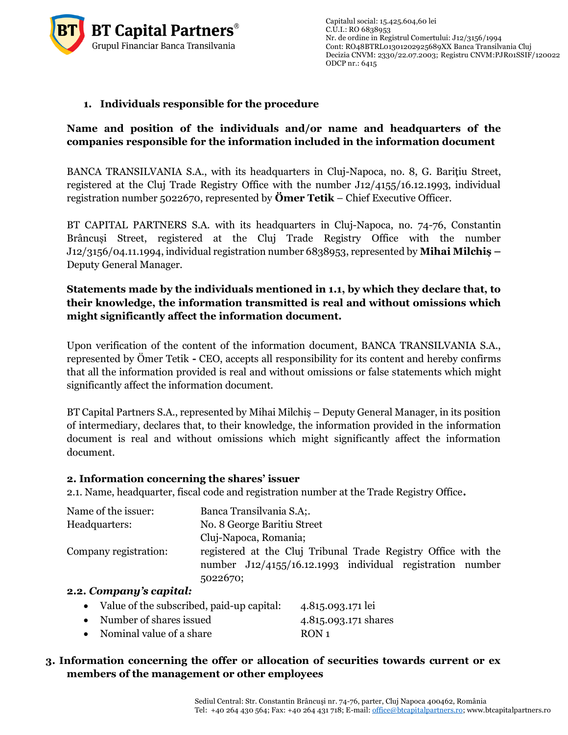

## **1. Individuals responsible for the procedure**

## **Name and position of the individuals and/or name and headquarters of the companies responsible for the information included in the information document**

BANCA TRANSILVANIA S.A., with its headquarters in Cluj-Napoca, no. 8, G. Bariţiu Street, registered at the Cluj Trade Registry Office with the number J12/4155/16.12.1993, individual registration number 5022670, represented by **Ömer Tetik** – Chief Executive Officer.

BT CAPITAL PARTNERS S.A. with its headquarters in Cluj-Napoca, no. 74-76, Constantin Brâncuși Street, registered at the Cluj Trade Registry Office with the number J12/3156/04.11.1994, individual registration number 6838953, represented by **Mihai Milchiș –** Deputy General Manager.

## **Statements made by the individuals mentioned in 1.1, by which they declare that, to their knowledge, the information transmitted is real and without omissions which might significantly affect the information document.**

Upon verification of the content of the information document, BANCA TRANSILVANIA S.A., represented by Ömer Tetik **-** CEO, accepts all responsibility for its content and hereby confirms that all the information provided is real and without omissions or false statements which might significantly affect the information document.

BT Capital Partners S.A., represented by Mihai Milchiș – Deputy General Manager, in its position of intermediary, declares that, to their knowledge, the information provided in the information document is real and without omissions which might significantly affect the information document.

### **2. Information concerning the shares' issuer**

2.1. Name, headquarter, fiscal code and registration number at the Trade Registry Office**.**

| Name of the issuer:   | Banca Transilvania S.A;.                                       |
|-----------------------|----------------------------------------------------------------|
| Headquarters:         | No. 8 George Baritiu Street                                    |
|                       | Cluj-Napoca, Romania;                                          |
| Company registration: | registered at the Cluj Tribunal Trade Registry Office with the |
|                       | number J12/4155/16.12.1993 individual registration number      |
|                       | 5022670;                                                       |
|                       |                                                                |

#### **2.2.** *Company's capital:*

| • Value of the subscribed, paid-up capital: | 4.815.093.171 lei    |
|---------------------------------------------|----------------------|
| • Number of shares issued                   | 4.815.093.171 shares |
| • Nominal value of a share                  | RON <sub>1</sub>     |

 **3. Information concerning the offer or allocation of securities towards current or ex members of the management or other employees**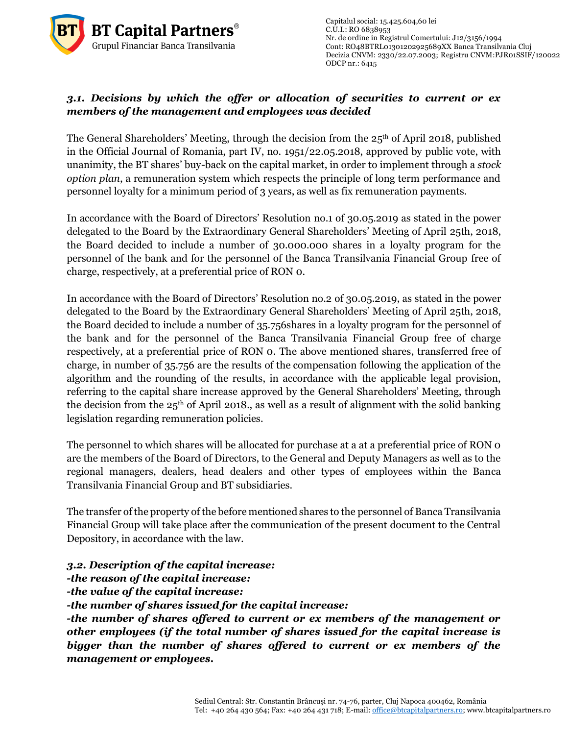

Capitalul social: 15.425.604,60 lei  $C.U.I.: RO 6838953$ Nr. de ordine in Registrul Comertului: J12/3156/1994 Cont: RO48BTRL01301202925689XX Banca Transilvania Cluj Decizia CNVM: 2330/22.07.2003; Registru CNVM[:PJR01SSIF/120022](http://asfromania.ro/registru/detalii.php?id=11&nrcnvm=PJR01SSIF/120022&lng=1) ODCP nr.: 6415

# *3.1. Decisions by which the offer or allocation of securities to current or ex members of the management and employees was decided*

The General Shareholders' Meeting, through the decision from the 25<sup>th</sup> of April 2018, published in the Official Journal of Romania, part IV, no. 1951/22.05.2018, approved by public vote, with unanimity, the BT shares' buy-back on the capital market, in order to implement through a *stock option plan*, a remuneration system which respects the principle of long term performance and personnel loyalty for a minimum period of 3 years, as well as fix remuneration payments.

> In accordance with the Board of Directors' Resolution no.1 of 30.05.2019 as stated in the power delegated to the Board by the Extraordinary General Shareholders' Meeting of April 25th, 2018, the Board decided to include a number of 30.000.000 shares in a loyalty program for the personnel of the bank and for the personnel of the Banca Transilvania Financial Group free of charge, respectively, at a preferential price of RON 0.

> In accordance with the Board of Directors' Resolution no.2 of 30.05.2019, as stated in the power delegated to the Board by the Extraordinary General Shareholders' Meeting of April 25th, 2018, the Board decided to include a number of 35.756shares in a loyalty program for the personnel of the bank and for the personnel of the Banca Transilvania Financial Group free of charge respectively, at a preferential price of RON 0. The above mentioned shares, transferred free of charge, in number of 35.756 are the results of the compensation following the application of the algorithm and the rounding of the results, in accordance with the applicable legal provision, referring to the capital share increase approved by the General Shareholders' Meeting, through the decision from the  $25<sup>th</sup>$  of April 2018., as well as a result of alignment with the solid banking legislation regarding remuneration policies.

> The personnel to which shares will be allocated for purchase at a at a preferential price of RON o are the members of the Board of Directors, to the General and Deputy Managers as well as to the regional managers, dealers, head dealers and other types of employees within the Banca Transilvania Financial Group and BT subsidiaries.

> The transfer of the property of the before mentioned shares to the personnel of Banca Transilvania Financial Group will take place after the communication of the present document to the Central Depository, in accordance with the law.

*3.2. Description of the capital increase:*

*-the reason of the capital increase:*

*-the value of the capital increase:* 

*-the number of shares issued for the capital increase:*

*-the number of shares offered to current or ex members of the management or other employees (if the total number of shares issued for the capital increase is bigger than the number of shares offered to current or ex members of the management or employees.*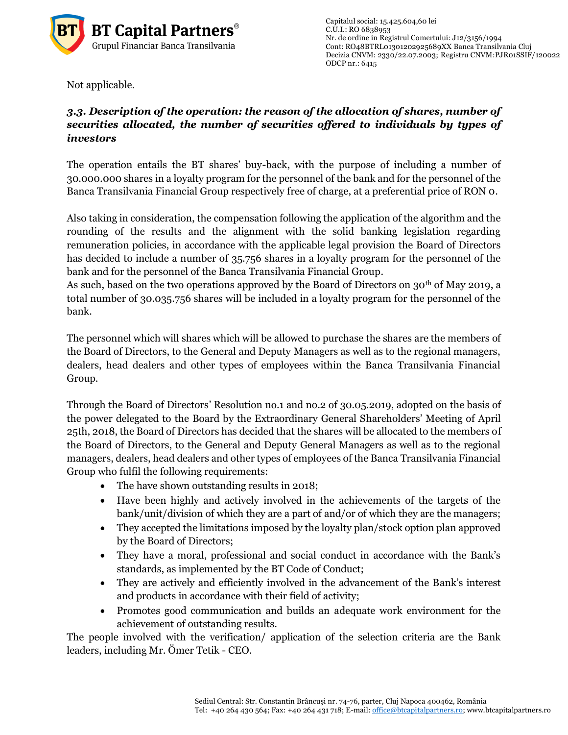

Not applicable.

# *3.3. Description of the operation: the reason of the allocation of shares, number of securities allocated, the number of securities offered to individuals by types of investors*

The operation entails the BT shares' buy-back, with the purpose of including a number of 30.000.000 shares in a loyalty program for the personnel of the bank and for the personnel of the Banca Transilvania Financial Group respectively free of charge, at a preferential price of RON 0.

Also taking in consideration, the compensation following the application of the algorithm and the rounding of the results and the alignment with the solid banking legislation regarding remuneration policies, in accordance with the applicable legal provision the Board of Directors has decided to include a number of 35.756 shares in a loyalty program for the personnel of the bank and for the personnel of the Banca Transilvania Financial Group.

As such, based on the two operations approved by the Board of Directors on 30<sup>th</sup> of May 2019, a total number of 30.035.756 shares will be included in a loyalty program for the personnel of the bank.

The personnel which will shares which will be allowed to purchase the shares are the members of the Board of Directors, to the General and Deputy Managers as well as to the regional managers, dealers, head dealers and other types of employees within the Banca Transilvania Financial Group.

Through the Board of Directors' Resolution no.1 and no.2 of 30.05.2019, adopted on the basis of the power delegated to the Board by the Extraordinary General Shareholders' Meeting of April 25th, 2018, the Board of Directors has decided that the shares will be allocated to the members of the Board of Directors, to the General and Deputy General Managers as well as to the regional managers, dealers, head dealers and other types of employees of the Banca Transilvania Financial Group who fulfil the following requirements:

- The have shown outstanding results in 2018;
- Have been highly and actively involved in the achievements of the targets of the bank/unit/division of which they are a part of and/or of which they are the managers;
- They accepted the limitations imposed by the loyalty plan/stock option plan approved by the Board of Directors;
- They have a moral, professional and social conduct in accordance with the Bank's standards, as implemented by the BT Code of Conduct;
- They are actively and efficiently involved in the advancement of the Bank's interest and products in accordance with their field of activity;
- Promotes good communication and builds an adequate work environment for the achievement of outstanding results.

The people involved with the verification/ application of the selection criteria are the Bank leaders, including Mr. Ömer Tetik - CEO.